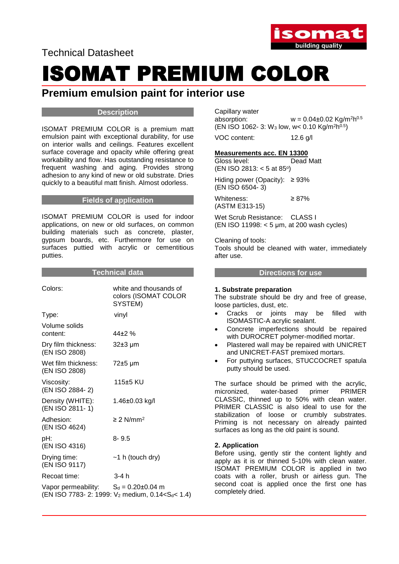Technical Datasheet



# **Premium emulsion paint for interior use**

#### **Description**

ISOMAT PREMIUM COLOR is a premium matt emulsion paint with exceptional durability, for use on interior walls and ceilings. Features excellent surface coverage and opacity while offering great workability and flow. Has outstanding resistance to frequent washing and aging. Provides strong adhesion to any kind of new or old substrate. Dries quickly to a beautiful matt finish. Almost odorless.

### **Fields of application**

ISOMAT PREMIUM COLOR is used for indoor applications, on new or old surfaces, on common building materials such as concrete, plaster, gypsum boards, etc. Furthermore for use on surfaces puttied with acrylic or cementitious putties.

#### **Technical data**

| Colors:                              | white and thousands of<br>colors (ISOMAT COLOR<br>SYSTEM) |
|--------------------------------------|-----------------------------------------------------------|
| Type:                                | vinyl                                                     |
| Volume solids<br>content:            | $44+2%$                                                   |
| Dry film thickness:<br>(EN ISO 2808) | 32±3 µm                                                   |
| Wet film thickness:<br>(EN ISO 2808) | 72±5 µm                                                   |
| Viscosity:<br>(EN ISO 2884-2)        | 115±5 KU                                                  |
| Density (WHITE):<br>(EN ISO 2811-1)  | 1.46±0.03 kg/l                                            |
| Adhesion:<br>(EN ISO 4624)           | $\geq$ 2 N/mm <sup>2</sup>                                |
| pH:<br>(EN ISO 4316)                 | $8 - 9.5$                                                 |
| Drying time:<br>(EN ISO 9117)        | $~1$ h (touch dry)                                        |
| Recoat time:                         | 3-4 h                                                     |
| Vapor permeability:                  | $S_d = 0.20 \pm 0.04$ m                                   |

(EN ISO 7783- 2: 1999:  $V_2$  medium, 0.14<S<sub>d</sub>< 1.4)

Capillary water absorption:  $w = 0.04 \pm 0.02$  Kg/m<sup>2</sup>h<sup>0.5</sup>  $(EN ISO 1062-3: W<sub>3</sub> low, w < 0.10 Kg/m<sup>2</sup>h<sup>0.5</sup>)$ 

VOC content: 12.6 g/l

# **Measurements acc. EN 13300**

Gloss level: Dead Matt (EN ISO 2813: < 5 at 85°)

Hiding power (Opacity):  $\geq 93\%$ (EN ISO 6504- 3)

Whiteness: ≥ 87% (ASTM E313-15)

Wet Scrub Resistance: CLASS I (EN ISO 11998: < 5 μm, at 200 wash cycles)

Cleaning of tools: Tools should be cleaned with water, immediately after use.

#### **Directions for use**

### **1. Substrate preparation**

The substrate should be dry and free of grease, loose particles, dust, etc.

- Cracks or joints may be filled with ISOMASTIC-A acrylic sealant.
- Concrete imperfections should be repaired with DUROCRET polymer-modified mortar.
- Plastered wall may be repaired with UNICRET and UNICRET-FAST premixed mortars.
- For puttying surfaces, STUCCOCRET spatula putty should be used.

The surface should be primed with the acrylic, micronized, water-based primer PRIMER CLASSIC, thinned up to 50% with clean water. PRIMER CLASSIC is also ideal to use for the stabilization of loose or crumbly substrates. Priming is not necessary on already painted surfaces as long as the old paint is sound.

### **2. Application**

Before using, gently stir the content lightly and apply as it is or thinned 5-10% with clean water. ISOMAT PREMIUM COLOR is applied in two coats with a roller, brush or airless gun. The second coat is applied once the first one has completely dried.